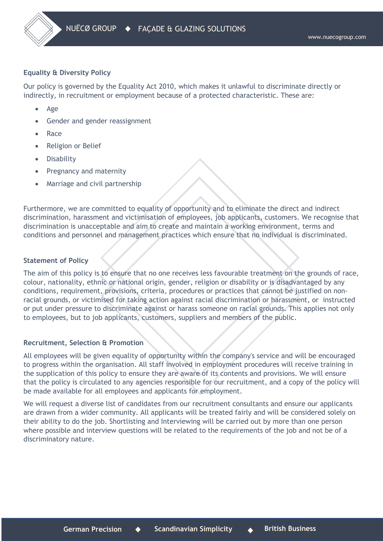## **Equality & Diversity Policy**

Our policy is governed by the Equality Act 2010, which makes it unlawful to discriminate directly or indirectly, in recruitment or employment because of a protected characteristic. These are:

- Age
- Gender and gender reassignment
- Race
- Religion or Belief
- Disability
- Pregnancy and maternity
- Marriage and civil partnership

Furthermore, we are committed to equality of opportunity and to eliminate the direct and indirect discrimination, harassment and victimisation of employees, job applicants, customers. We recognise that discrimination is unacceptable and aim to create and maintain a working environment, terms and conditions and personnel and management practices which ensure that no individual is discriminated.

## **Statement of Policy**

The aim of this policy is to ensure that no one receives less favourable treatment on the grounds of race, colour, nationality, ethnic or national origin, gender, religion or disability or is disadvantaged by any conditions, requirement, provisions, criteria, procedures or practices that cannot be justified on nonracial grounds, or victimised for taking action against racial discrimination or harassment, or instructed or put under pressure to discriminate against or harass someone on racial grounds. This applies not only to employees, but to job applicants, customers, suppliers and members of the public.

## **Recruitment, Selection & Promotion**

All employees will be given equality of opportunity within the company's service and will be encouraged to progress within the organisation. All staff involved in employment procedures will receive training in the supplication of this policy to ensure they are aware of its contents and provisions. We will ensure that the policy is circulated to any agencies responsible for our recruitment, and a copy of the policy will be made available for all employees and applicants for employment.

We will request a diverse list of candidates from our recruitment consultants and ensure our applicants are drawn from a wider community. All applicants will be treated fairly and will be considered solely on their ability to do the job. Shortlisting and Interviewing will be carried out by more than one person where possible and interview questions will be related to the requirements of the job and not be of a discriminatory nature.